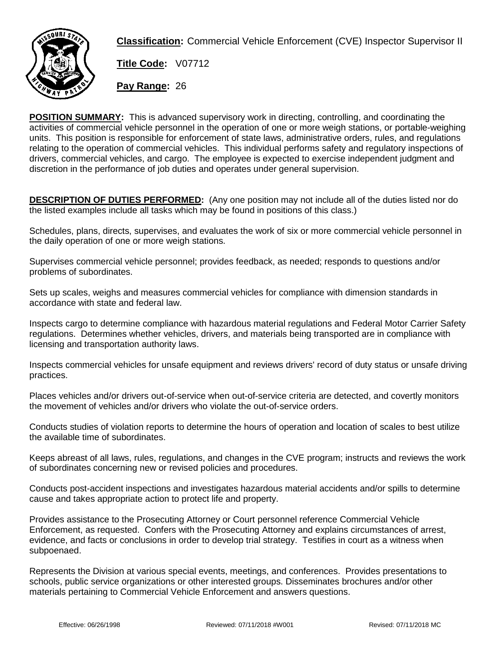

**Classification:** Commercial Vehicle Enforcement (CVE) Inspector Supervisor II

**Title Code:** V07712

**Pay Range:** 26

**POSITION SUMMARY:** This is advanced supervisory work in directing, controlling, and coordinating the activities of commercial vehicle personnel in the operation of one or more weigh stations, or portable-weighing units. This position is responsible for enforcement of state laws, administrative orders, rules, and regulations relating to the operation of commercial vehicles. This individual performs safety and regulatory inspections of drivers, commercial vehicles, and cargo. The employee is expected to exercise independent judgment and discretion in the performance of job duties and operates under general supervision.

**DESCRIPTION OF DUTIES PERFORMED:** (Any one position may not include all of the duties listed nor do the listed examples include all tasks which may be found in positions of this class.)

Schedules, plans, directs, supervises, and evaluates the work of six or more commercial vehicle personnel in the daily operation of one or more weigh stations.

Supervises commercial vehicle personnel; provides feedback, as needed; responds to questions and/or problems of subordinates.

Sets up scales, weighs and measures commercial vehicles for compliance with dimension standards in accordance with state and federal law.

Inspects cargo to determine compliance with hazardous material regulations and Federal Motor Carrier Safety regulations. Determines whether vehicles, drivers, and materials being transported are in compliance with licensing and transportation authority laws.

Inspects commercial vehicles for unsafe equipment and reviews drivers' record of duty status or unsafe driving practices.

Places vehicles and/or drivers out-of-service when out-of-service criteria are detected, and covertly monitors the movement of vehicles and/or drivers who violate the out-of-service orders.

Conducts studies of violation reports to determine the hours of operation and location of scales to best utilize the available time of subordinates.

Keeps abreast of all laws, rules, regulations, and changes in the CVE program; instructs and reviews the work of subordinates concerning new or revised policies and procedures.

Conducts post-accident inspections and investigates hazardous material accidents and/or spills to determine cause and takes appropriate action to protect life and property.

Provides assistance to the Prosecuting Attorney or Court personnel reference Commercial Vehicle Enforcement, as requested. Confers with the Prosecuting Attorney and explains circumstances of arrest, evidence, and facts or conclusions in order to develop trial strategy. Testifies in court as a witness when subpoenaed.

Represents the Division at various special events, meetings, and conferences. Provides presentations to schools, public service organizations or other interested groups. Disseminates brochures and/or other materials pertaining to Commercial Vehicle Enforcement and answers questions.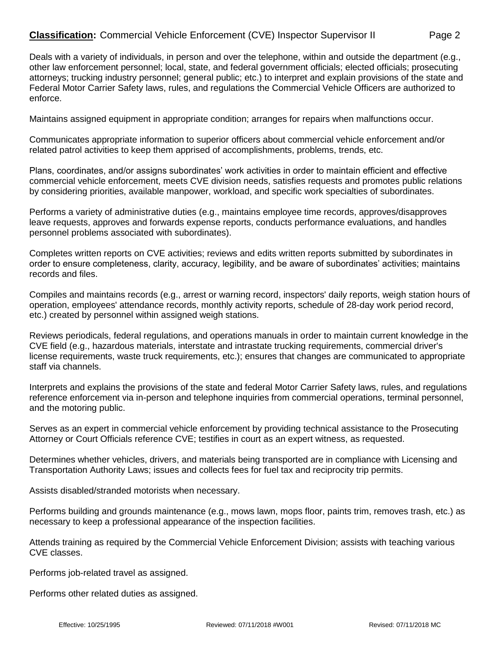## **Classification:** Commercial Vehicle Enforcement (CVE) Inspector Supervisor II Page 2

Deals with a variety of individuals, in person and over the telephone, within and outside the department (e.g., other law enforcement personnel; local, state, and federal government officials; elected officials; prosecuting attorneys; trucking industry personnel; general public; etc.) to interpret and explain provisions of the state and Federal Motor Carrier Safety laws, rules, and regulations the Commercial Vehicle Officers are authorized to enforce.

Maintains assigned equipment in appropriate condition; arranges for repairs when malfunctions occur.

Communicates appropriate information to superior officers about commercial vehicle enforcement and/or related patrol activities to keep them apprised of accomplishments, problems, trends, etc.

Plans, coordinates, and/or assigns subordinates' work activities in order to maintain efficient and effective commercial vehicle enforcement, meets CVE division needs, satisfies requests and promotes public relations by considering priorities, available manpower, workload, and specific work specialties of subordinates.

Performs a variety of administrative duties (e.g., maintains employee time records, approves/disapproves leave requests, approves and forwards expense reports, conducts performance evaluations, and handles personnel problems associated with subordinates).

Completes written reports on CVE activities; reviews and edits written reports submitted by subordinates in order to ensure completeness, clarity, accuracy, legibility, and be aware of subordinates' activities; maintains records and files.

Compiles and maintains records (e.g., arrest or warning record, inspectors' daily reports, weigh station hours of operation, employees' attendance records, monthly activity reports, schedule of 28-day work period record, etc.) created by personnel within assigned weigh stations.

Reviews periodicals, federal regulations, and operations manuals in order to maintain current knowledge in the CVE field (e.g., hazardous materials, interstate and intrastate trucking requirements, commercial driver's license requirements, waste truck requirements, etc.); ensures that changes are communicated to appropriate staff via channels.

Interprets and explains the provisions of the state and federal Motor Carrier Safety laws, rules, and regulations reference enforcement via in-person and telephone inquiries from commercial operations, terminal personnel, and the motoring public.

Serves as an expert in commercial vehicle enforcement by providing technical assistance to the Prosecuting Attorney or Court Officials reference CVE; testifies in court as an expert witness, as requested.

Determines whether vehicles, drivers, and materials being transported are in compliance with Licensing and Transportation Authority Laws; issues and collects fees for fuel tax and reciprocity trip permits.

Assists disabled/stranded motorists when necessary.

Performs building and grounds maintenance (e.g., mows lawn, mops floor, paints trim, removes trash, etc.) as necessary to keep a professional appearance of the inspection facilities.

Attends training as required by the Commercial Vehicle Enforcement Division; assists with teaching various CVE classes.

Performs job-related travel as assigned.

Performs other related duties as assigned.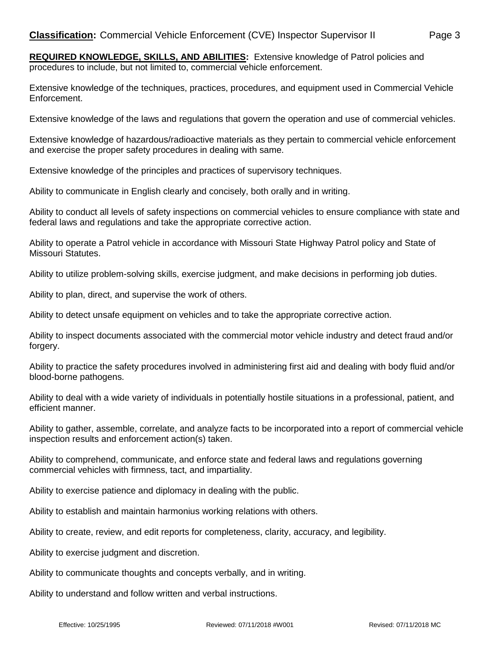Extensive knowledge of the techniques, practices, procedures, and equipment used in Commercial Vehicle Enforcement.

Extensive knowledge of the laws and regulations that govern the operation and use of commercial vehicles.

Extensive knowledge of hazardous/radioactive materials as they pertain to commercial vehicle enforcement and exercise the proper safety procedures in dealing with same.

Extensive knowledge of the principles and practices of supervisory techniques.

Ability to communicate in English clearly and concisely, both orally and in writing.

Ability to conduct all levels of safety inspections on commercial vehicles to ensure compliance with state and federal laws and regulations and take the appropriate corrective action.

Ability to operate a Patrol vehicle in accordance with Missouri State Highway Patrol policy and State of Missouri Statutes.

Ability to utilize problem-solving skills, exercise judgment, and make decisions in performing job duties.

Ability to plan, direct, and supervise the work of others.

Ability to detect unsafe equipment on vehicles and to take the appropriate corrective action.

Ability to inspect documents associated with the commercial motor vehicle industry and detect fraud and/or forgery.

Ability to practice the safety procedures involved in administering first aid and dealing with body fluid and/or blood-borne pathogens.

Ability to deal with a wide variety of individuals in potentially hostile situations in a professional, patient, and efficient manner.

Ability to gather, assemble, correlate, and analyze facts to be incorporated into a report of commercial vehicle inspection results and enforcement action(s) taken.

Ability to comprehend, communicate, and enforce state and federal laws and regulations governing commercial vehicles with firmness, tact, and impartiality.

Ability to exercise patience and diplomacy in dealing with the public.

Ability to establish and maintain harmonius working relations with others.

Ability to create, review, and edit reports for completeness, clarity, accuracy, and legibility.

Ability to exercise judgment and discretion.

Ability to communicate thoughts and concepts verbally, and in writing.

Ability to understand and follow written and verbal instructions.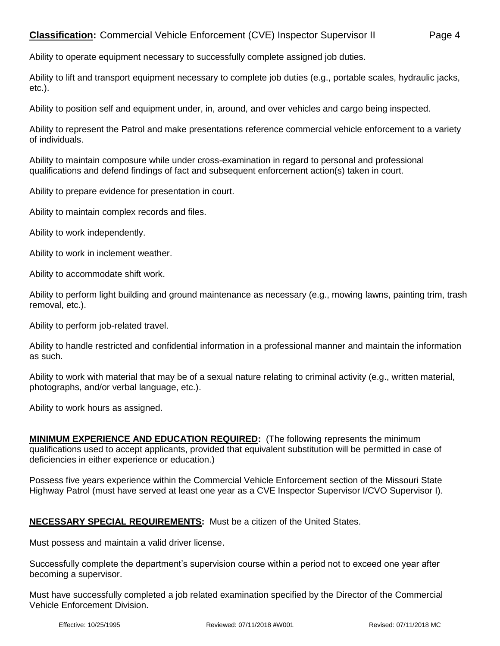Ability to operate equipment necessary to successfully complete assigned job duties.

Ability to lift and transport equipment necessary to complete job duties (e.g., portable scales, hydraulic jacks, etc.).

Ability to position self and equipment under, in, around, and over vehicles and cargo being inspected.

Ability to represent the Patrol and make presentations reference commercial vehicle enforcement to a variety of individuals.

Ability to maintain composure while under cross-examination in regard to personal and professional qualifications and defend findings of fact and subsequent enforcement action(s) taken in court.

Ability to prepare evidence for presentation in court.

Ability to maintain complex records and files.

Ability to work independently.

Ability to work in inclement weather.

Ability to accommodate shift work.

Ability to perform light building and ground maintenance as necessary (e.g., mowing lawns, painting trim, trash removal, etc.).

Ability to perform job-related travel.

Ability to handle restricted and confidential information in a professional manner and maintain the information as such.

Ability to work with material that may be of a sexual nature relating to criminal activity (e.g., written material, photographs, and/or verbal language, etc.).

Ability to work hours as assigned.

**MINIMUM EXPERIENCE AND EDUCATION REQUIRED:** (The following represents the minimum qualifications used to accept applicants, provided that equivalent substitution will be permitted in case of deficiencies in either experience or education.)

Possess five years experience within the Commercial Vehicle Enforcement section of the Missouri State Highway Patrol (must have served at least one year as a CVE Inspector Supervisor I/CVO Supervisor I).

## **NECESSARY SPECIAL REQUIREMENTS:** Must be a citizen of the United States.

Must possess and maintain a valid driver license.

Successfully complete the department's supervision course within a period not to exceed one year after becoming a supervisor.

Must have successfully completed a job related examination specified by the Director of the Commercial Vehicle Enforcement Division.